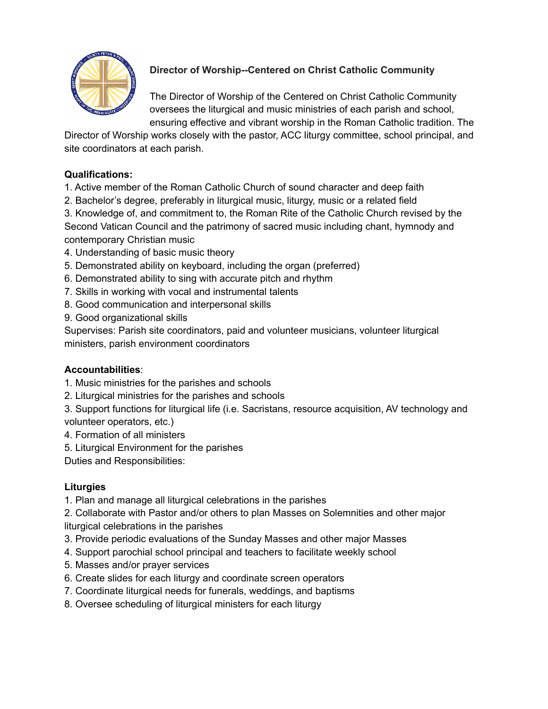

# **Director of Worship--Centered on Christ Catholic Community**

The Director of Worship of the Centered on Christ Catholic Community oversees the liturgical and music ministries of each parish and school, ensuring effective and vibrant worship in the Roman Catholic tradition. The

Director of Worship works closely with the pastor, ACC liturgy committee, school principal, and site coordinators at each parish.

# **Qualifications:**

1. Active member of the Roman Catholic Church of sound character and deep faith

2. Bachelor's degree, preferably in liturgical music, liturgy, music or a related field

3. Knowledge of, and commitment to, the Roman Rite of the Catholic Church revised by the Second Vatican Council and the patrimony of sacred music including chant, hymnody and contemporary Christian music

- 4. Understanding of basic music theory
- 5. Demonstrated ability on keyboard, including the organ (preferred)
- 6. Demonstrated ability to sing with accurate pitch and rhythm
- 7. Skills in working with vocal and instrumental talents
- 8. Good communication and interpersonal skills
- 9. Good organizational skills

Supervises: Parish site coordinators, paid and volunteer musicians, volunteer liturgical ministers, parish environment coordinators

#### **Accountabilities**:

- 1. Music ministries for the parishes and schools
- 2. Liturgical ministries for the parishes and schools
- 3. Support functions for liturgical life (i.e. Sacristans, resource acquisition, AV technology and volunteer operators, etc.)
- 4. Formation of all ministers
- 5. Liturgical Environment for the parishes

Duties and Responsibilities:

# **Liturgies**

1. Plan and manage all liturgical celebrations in the parishes

2. Collaborate with Pastor and/or others to plan Masses on Solemnities and other major liturgical celebrations in the parishes

- 3. Provide periodic evaluations of the Sunday Masses and other major Masses
- 4. Support parochial school principal and teachers to facilitate weekly school
- 5. Masses and/or prayer services
- 6. Create slides for each liturgy and coordinate screen operators
- 7. Coordinate liturgical needs for funerals, weddings, and baptisms
- 8. Oversee scheduling of liturgical ministers for each liturgy